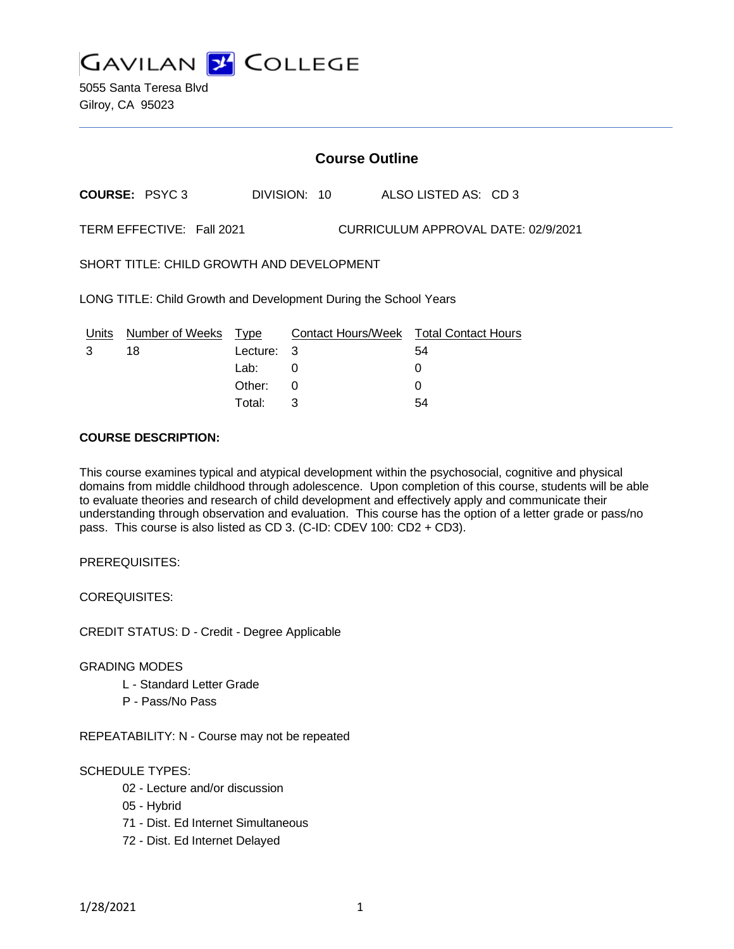

5055 Santa Teresa Blvd Gilroy, CA 95023

## **Course Outline**

**COURSE:** PSYC 3 DIVISION: 10 ALSO LISTED AS: CD 3

TERM EFFECTIVE: Fall 2021 CURRICULUM APPROVAL DATE: 02/9/2021

SHORT TITLE: CHILD GROWTH AND DEVELOPMENT

LONG TITLE: Child Growth and Development During the School Years

| Units | Number of Weeks Type |            | Contact Hours/Week Total Contact Hours |    |
|-------|----------------------|------------|----------------------------------------|----|
|       | 18                   | Lecture: 3 |                                        | 54 |
|       |                      | Lab:       |                                        |    |
|       |                      | Other: 0   |                                        |    |
|       |                      | Total:     |                                        | 54 |

# **COURSE DESCRIPTION:**

This course examines typical and atypical development within the psychosocial, cognitive and physical domains from middle childhood through adolescence. Upon completion of this course, students will be able to evaluate theories and research of child development and effectively apply and communicate their understanding through observation and evaluation. This course has the option of a letter grade or pass/no pass. This course is also listed as CD 3. (C-ID: CDEV 100: CD2 + CD3).

PREREQUISITES:

COREQUISITES:

CREDIT STATUS: D - Credit - Degree Applicable

#### GRADING MODES

- L Standard Letter Grade
- P Pass/No Pass

REPEATABILITY: N - Course may not be repeated

## SCHEDULE TYPES:

- 02 Lecture and/or discussion
- 05 Hybrid
- 71 Dist. Ed Internet Simultaneous
- 72 Dist. Ed Internet Delayed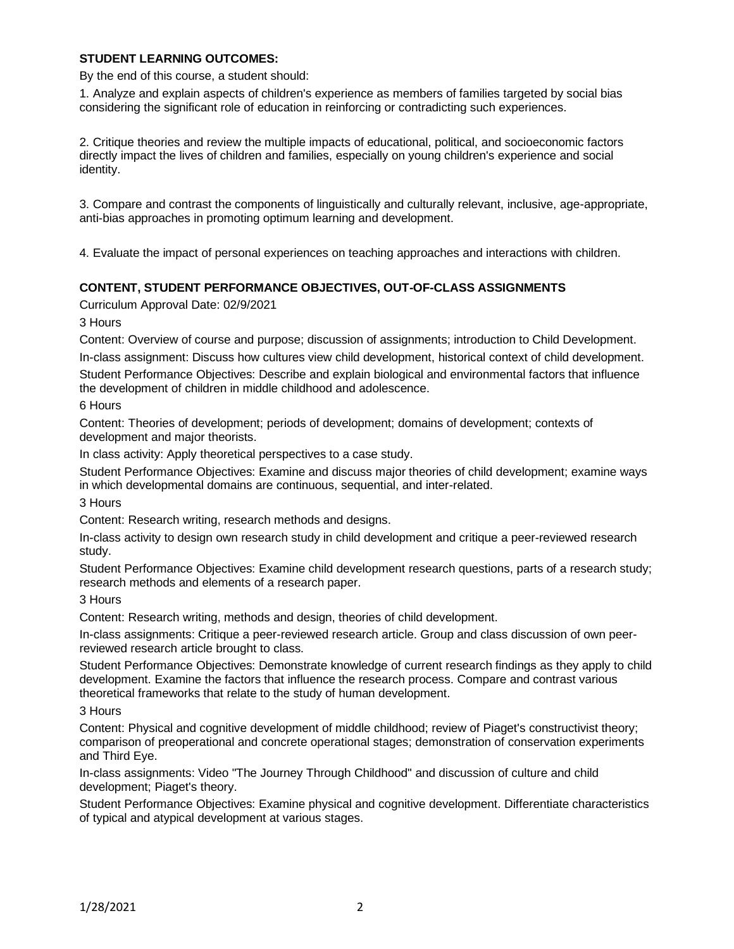## **STUDENT LEARNING OUTCOMES:**

By the end of this course, a student should:

1. Analyze and explain aspects of children's experience as members of families targeted by social bias considering the significant role of education in reinforcing or contradicting such experiences.

2. Critique theories and review the multiple impacts of educational, political, and socioeconomic factors directly impact the lives of children and families, especially on young children's experience and social identity.

3. Compare and contrast the components of linguistically and culturally relevant, inclusive, age-appropriate, anti-bias approaches in promoting optimum learning and development.

4. Evaluate the impact of personal experiences on teaching approaches and interactions with children.

## **CONTENT, STUDENT PERFORMANCE OBJECTIVES, OUT-OF-CLASS ASSIGNMENTS**

Curriculum Approval Date: 02/9/2021

3 Hours

Content: Overview of course and purpose; discussion of assignments; introduction to Child Development.

In-class assignment: Discuss how cultures view child development, historical context of child development.

Student Performance Objectives: Describe and explain biological and environmental factors that influence the development of children in middle childhood and adolescence.

6 Hours

Content: Theories of development; periods of development; domains of development; contexts of development and major theorists.

In class activity: Apply theoretical perspectives to a case study.

Student Performance Objectives: Examine and discuss major theories of child development; examine ways in which developmental domains are continuous, sequential, and inter-related.

3 Hours

Content: Research writing, research methods and designs.

In-class activity to design own research study in child development and critique a peer-reviewed research study.

Student Performance Objectives: Examine child development research questions, parts of a research study; research methods and elements of a research paper.

3 Hours

Content: Research writing, methods and design, theories of child development.

In-class assignments: Critique a peer-reviewed research article. Group and class discussion of own peerreviewed research article brought to class.

Student Performance Objectives: Demonstrate knowledge of current research findings as they apply to child development. Examine the factors that influence the research process. Compare and contrast various theoretical frameworks that relate to the study of human development.

3 Hours

Content: Physical and cognitive development of middle childhood; review of Piaget's constructivist theory; comparison of preoperational and concrete operational stages; demonstration of conservation experiments and Third Eye.

In-class assignments: Video "The Journey Through Childhood" and discussion of culture and child development; Piaget's theory.

Student Performance Objectives: Examine physical and cognitive development. Differentiate characteristics of typical and atypical development at various stages.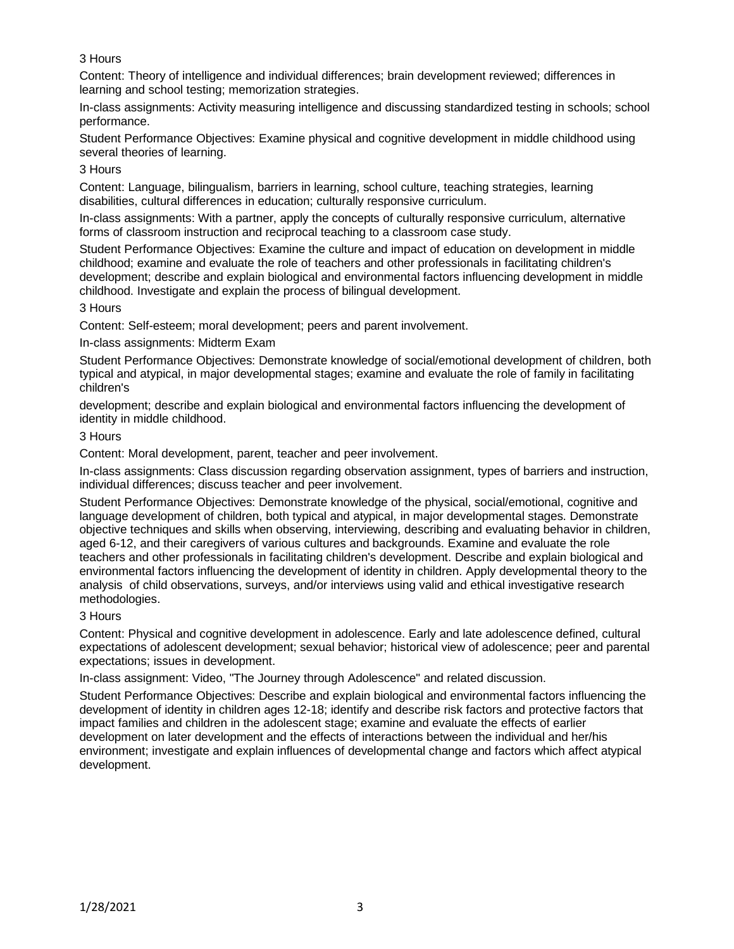# 3 Hours

Content: Theory of intelligence and individual differences; brain development reviewed; differences in learning and school testing; memorization strategies.

In-class assignments: Activity measuring intelligence and discussing standardized testing in schools; school performance.

Student Performance Objectives: Examine physical and cognitive development in middle childhood using several theories of learning.

#### 3 Hours

Content: Language, bilingualism, barriers in learning, school culture, teaching strategies, learning disabilities, cultural differences in education; culturally responsive curriculum.

In-class assignments: With a partner, apply the concepts of culturally responsive curriculum, alternative forms of classroom instruction and reciprocal teaching to a classroom case study.

Student Performance Objectives: Examine the culture and impact of education on development in middle childhood; examine and evaluate the role of teachers and other professionals in facilitating children's development; describe and explain biological and environmental factors influencing development in middle childhood. Investigate and explain the process of bilingual development.

#### 3 Hours

Content: Self-esteem; moral development; peers and parent involvement.

In-class assignments: Midterm Exam

Student Performance Objectives: Demonstrate knowledge of social/emotional development of children, both typical and atypical, in major developmental stages; examine and evaluate the role of family in facilitating children's

development; describe and explain biological and environmental factors influencing the development of identity in middle childhood.

#### 3 Hours

Content: Moral development, parent, teacher and peer involvement.

In-class assignments: Class discussion regarding observation assignment, types of barriers and instruction, individual differences; discuss teacher and peer involvement.

Student Performance Objectives: Demonstrate knowledge of the physical, social/emotional, cognitive and language development of children, both typical and atypical, in major developmental stages. Demonstrate objective techniques and skills when observing, interviewing, describing and evaluating behavior in children, aged 6-12, and their caregivers of various cultures and backgrounds. Examine and evaluate the role teachers and other professionals in facilitating children's development. Describe and explain biological and environmental factors influencing the development of identity in children. Apply developmental theory to the analysis of child observations, surveys, and/or interviews using valid and ethical investigative research methodologies.

## 3 Hours

Content: Physical and cognitive development in adolescence. Early and late adolescence defined, cultural expectations of adolescent development; sexual behavior; historical view of adolescence; peer and parental expectations; issues in development.

In-class assignment: Video, "The Journey through Adolescence" and related discussion.

Student Performance Objectives: Describe and explain biological and environmental factors influencing the development of identity in children ages 12-18; identify and describe risk factors and protective factors that impact families and children in the adolescent stage; examine and evaluate the effects of earlier development on later development and the effects of interactions between the individual and her/his environment; investigate and explain influences of developmental change and factors which affect atypical development.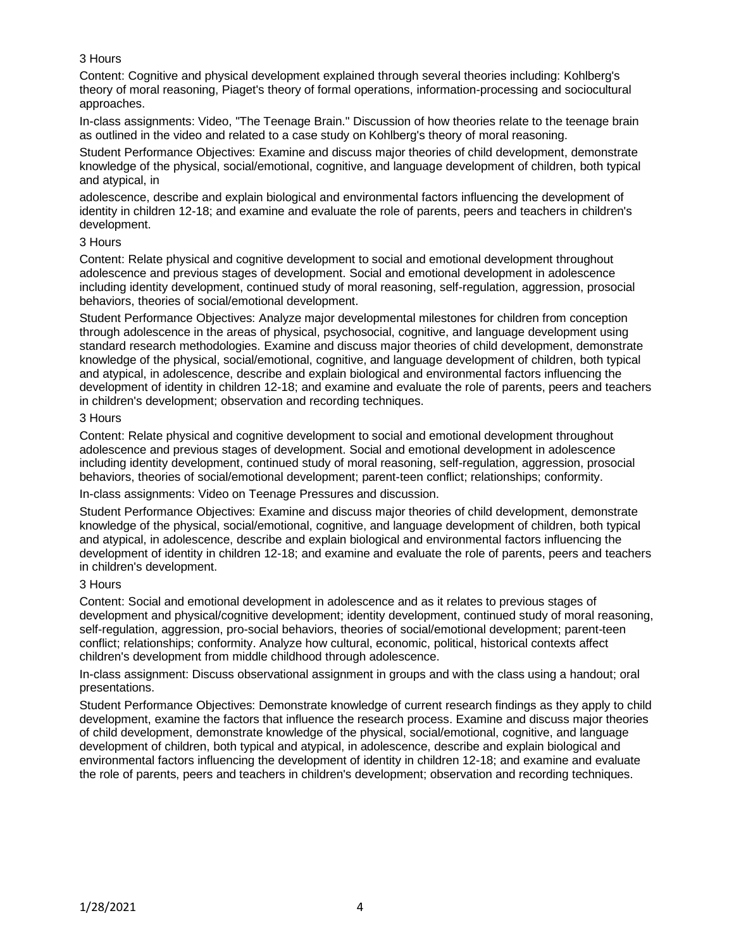# 3 Hours

Content: Cognitive and physical development explained through several theories including: Kohlberg's theory of moral reasoning, Piaget's theory of formal operations, information-processing and sociocultural approaches.

In-class assignments: Video, "The Teenage Brain." Discussion of how theories relate to the teenage brain as outlined in the video and related to a case study on Kohlberg's theory of moral reasoning.

Student Performance Objectives: Examine and discuss major theories of child development, demonstrate knowledge of the physical, social/emotional, cognitive, and language development of children, both typical and atypical, in

adolescence, describe and explain biological and environmental factors influencing the development of identity in children 12-18; and examine and evaluate the role of parents, peers and teachers in children's development.

#### 3 Hours

Content: Relate physical and cognitive development to social and emotional development throughout adolescence and previous stages of development. Social and emotional development in adolescence including identity development, continued study of moral reasoning, self-regulation, aggression, prosocial behaviors, theories of social/emotional development.

Student Performance Objectives: Analyze major developmental milestones for children from conception through adolescence in the areas of physical, psychosocial, cognitive, and language development using standard research methodologies. Examine and discuss major theories of child development, demonstrate knowledge of the physical, social/emotional, cognitive, and language development of children, both typical and atypical, in adolescence, describe and explain biological and environmental factors influencing the development of identity in children 12-18; and examine and evaluate the role of parents, peers and teachers in children's development; observation and recording techniques.

#### 3 Hours

Content: Relate physical and cognitive development to social and emotional development throughout adolescence and previous stages of development. Social and emotional development in adolescence including identity development, continued study of moral reasoning, self-regulation, aggression, prosocial behaviors, theories of social/emotional development; parent-teen conflict; relationships; conformity.

In-class assignments: Video on Teenage Pressures and discussion.

Student Performance Objectives: Examine and discuss major theories of child development, demonstrate knowledge of the physical, social/emotional, cognitive, and language development of children, both typical and atypical, in adolescence, describe and explain biological and environmental factors influencing the development of identity in children 12-18; and examine and evaluate the role of parents, peers and teachers in children's development.

## 3 Hours

Content: Social and emotional development in adolescence and as it relates to previous stages of development and physical/cognitive development; identity development, continued study of moral reasoning, self-regulation, aggression, pro-social behaviors, theories of social/emotional development; parent-teen conflict; relationships; conformity. Analyze how cultural, economic, political, historical contexts affect children's development from middle childhood through adolescence.

In-class assignment: Discuss observational assignment in groups and with the class using a handout; oral presentations.

Student Performance Objectives: Demonstrate knowledge of current research findings as they apply to child development, examine the factors that influence the research process. Examine and discuss major theories of child development, demonstrate knowledge of the physical, social/emotional, cognitive, and language development of children, both typical and atypical, in adolescence, describe and explain biological and environmental factors influencing the development of identity in children 12-18; and examine and evaluate the role of parents, peers and teachers in children's development; observation and recording techniques.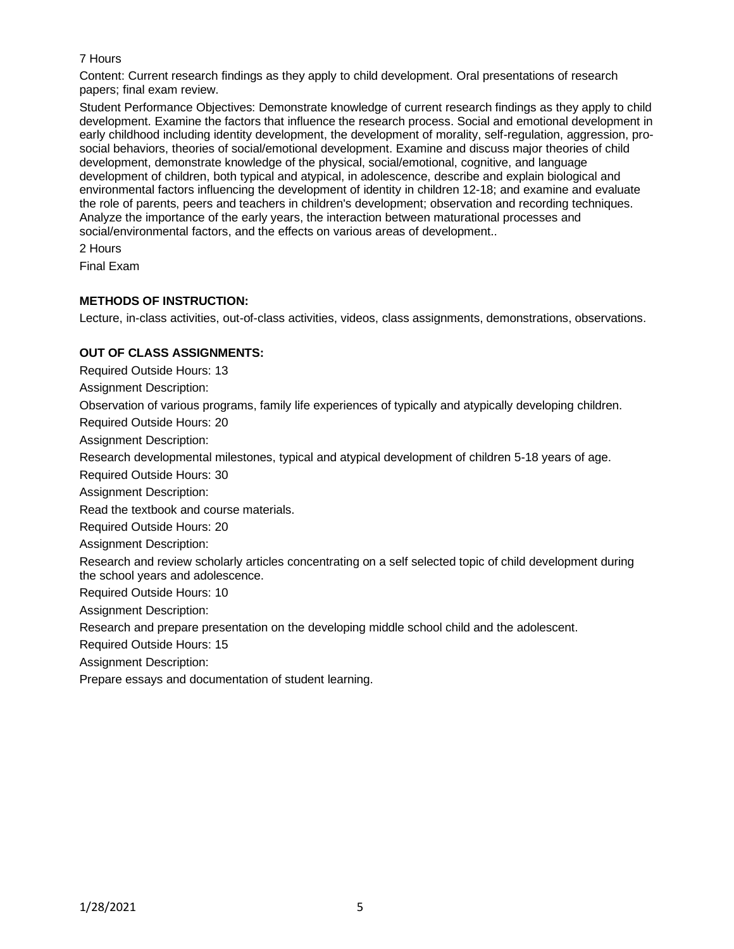# 7 Hours

Content: Current research findings as they apply to child development. Oral presentations of research papers; final exam review.

Student Performance Objectives: Demonstrate knowledge of current research findings as they apply to child development. Examine the factors that influence the research process. Social and emotional development in early childhood including identity development, the development of morality, self-regulation, aggression, prosocial behaviors, theories of social/emotional development. Examine and discuss major theories of child development, demonstrate knowledge of the physical, social/emotional, cognitive, and language development of children, both typical and atypical, in adolescence, describe and explain biological and environmental factors influencing the development of identity in children 12-18; and examine and evaluate the role of parents, peers and teachers in children's development; observation and recording techniques. Analyze the importance of the early years, the interaction between maturational processes and social/environmental factors, and the effects on various areas of development..

2 Hours

Final Exam

## **METHODS OF INSTRUCTION:**

Lecture, in-class activities, out-of-class activities, videos, class assignments, demonstrations, observations.

## **OUT OF CLASS ASSIGNMENTS:**

Required Outside Hours: 13

Assignment Description:

Observation of various programs, family life experiences of typically and atypically developing children.

Required Outside Hours: 20

Assignment Description:

Research developmental milestones, typical and atypical development of children 5-18 years of age.

Required Outside Hours: 30

Assignment Description:

Read the textbook and course materials.

Required Outside Hours: 20

Assignment Description:

Research and review scholarly articles concentrating on a self selected topic of child development during the school years and adolescence.

Required Outside Hours: 10

Assignment Description:

Research and prepare presentation on the developing middle school child and the adolescent.

Required Outside Hours: 15

Assignment Description:

Prepare essays and documentation of student learning.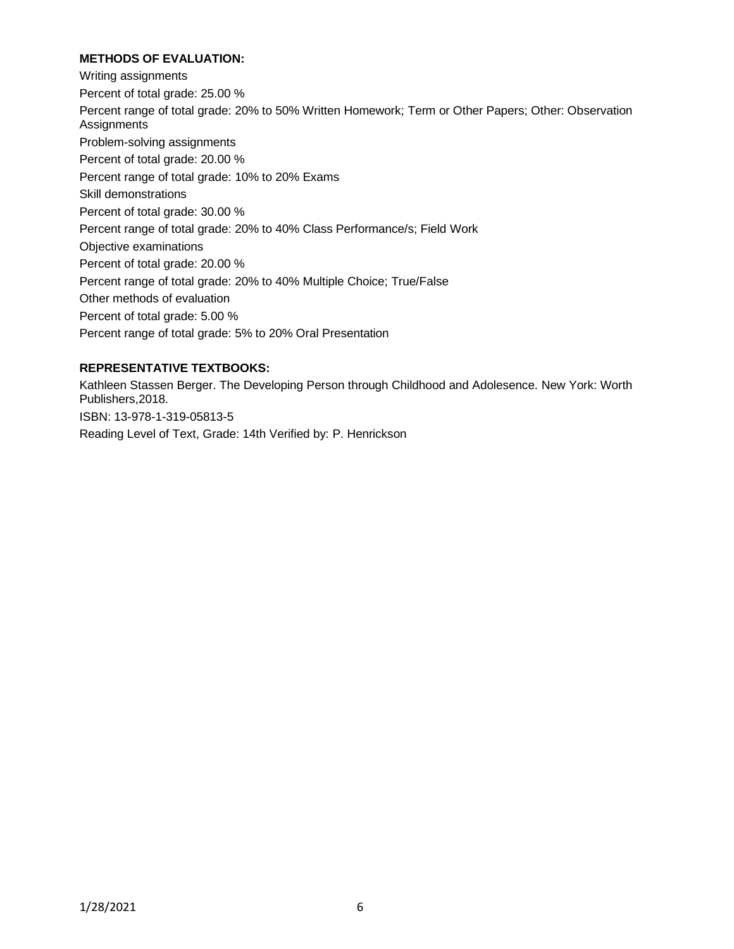## **METHODS OF EVALUATION:**

Writing assignments Percent of total grade: 25.00 % Percent range of total grade: 20% to 50% Written Homework; Term or Other Papers; Other: Observation **Assignments** Problem-solving assignments Percent of total grade: 20.00 % Percent range of total grade: 10% to 20% Exams Skill demonstrations Percent of total grade: 30.00 % Percent range of total grade: 20% to 40% Class Performance/s; Field Work Objective examinations Percent of total grade: 20.00 % Percent range of total grade: 20% to 40% Multiple Choice; True/False Other methods of evaluation Percent of total grade: 5.00 % Percent range of total grade: 5% to 20% Oral Presentation

## **REPRESENTATIVE TEXTBOOKS:**

Kathleen Stassen Berger. The Developing Person through Childhood and Adolesence. New York: Worth Publishers,2018. ISBN: 13-978-1-319-05813-5 Reading Level of Text, Grade: 14th Verified by: P. Henrickson